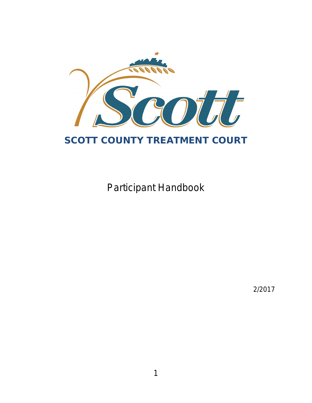

# **SCOTT COUNTY TREATMENT COURT**

Participant Handbook

2/2017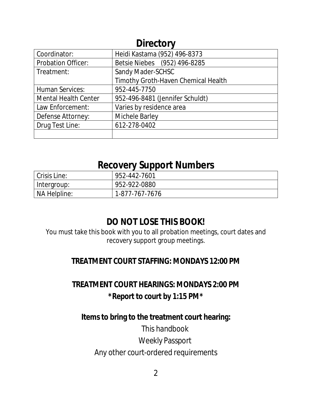| <b>DIFECTOLA</b>            |                                     |  |
|-----------------------------|-------------------------------------|--|
| Coordinator:                | Heidi Kastama (952) 496-8373        |  |
| <b>Probation Officer:</b>   | Betsie Niebes (952) 496-8285        |  |
| Treatment:                  | Sandy Mader-SCHSC                   |  |
|                             | Timothy Groth-Haven Chemical Health |  |
| <b>Human Services:</b>      | 952-445-7750                        |  |
| <b>Mental Health Center</b> | 952-496-8481 (Jennifer Schuldt)     |  |
| Law Enforcement:            | Varies by residence area            |  |
| Defense Attorney:           | Michele Barley                      |  |
| Drug Test Line:             | 612-278-0402                        |  |
|                             |                                     |  |

## **Directory**

## **Recovery Support Numbers**

| Crisis Line: | 952-442-7601   |
|--------------|----------------|
| Intergroup:  | 952-922-0880   |
| NA Helpline: | 1-877-767-7676 |

## **DO NOT LOSE THIS BOOK!**

You must take this book with you to all probation meetings, court dates and recovery support group meetings.

### **TREATMENT COURT STAFFING: MONDAYS 12:00 PM**

## **TREATMENT COURT HEARINGS: MONDAYS 2:00 PM** *\*Report to court by 1:15 PM\**

### **Itemsto bring to the treatment court hearing:**

This handbook Weekly Passport Any other court-ordered requirements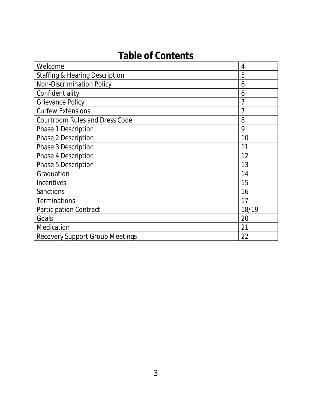# **Table of Contents**

| Welcome                                   | 4     |
|-------------------------------------------|-------|
| <b>Staffing &amp; Hearing Description</b> | 5     |
| <b>Non-Discrimination Policy</b>          | 6     |
| Confidentiality                           | 6     |
| <b>Grievance Policy</b>                   | 7     |
| <b>Curfew Extensions</b>                  | 7     |
| Courtroom Rules and Dress Code            | 8     |
| Phase 1 Description                       | 9     |
| Phase 2 Description                       | 10    |
| Phase 3 Description                       | 11    |
| Phase 4 Description                       | 12    |
| Phase 5 Description                       | 13    |
| Graduation                                | 14    |
| Incentives                                | 15    |
| Sanctions                                 | 16    |
| <b>Terminations</b>                       | 17    |
| <b>Participation Contract</b>             | 18/19 |
| Goals                                     | 20    |
| Medication                                | 21    |
| <b>Recovery Support Group Meetings</b>    | 22    |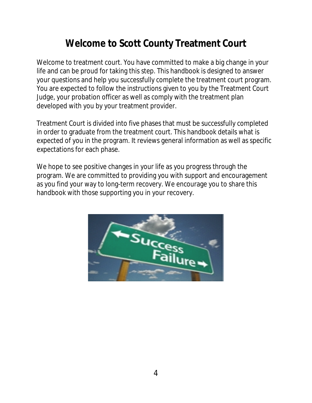# **Welcome to Scott County Treatment Court**

Welcome to treatment court. You have committed to make a big change in your life and can be proud for taking this step. This handbook is designed to answer your questions and help you successfully complete the treatment court program. You are expected to follow the instructions given to you by the Treatment Court Judge, your probation officer as well as comply with the treatment plan developed with you by your treatment provider.

Treatment Court is divided into five phases that must be successfully completed in order to graduate from the treatment court. This handbook details what is expected of you in the program. It reviews general information as well as specific expectations for each phase.

We hope to see positive changes in your life as you progress through the program. We are committed to providing you with support and encouragement as you find your way to long-term recovery. We encourage you to share this handbook with those supporting you in your recovery.

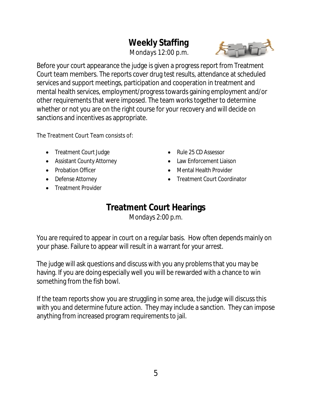## **Weekly Staffing**

 *Mondays 12:00 p.m.*



Before your court appearance the judge is given a progressreport from Treatment Court team members. The reports cover drug test results, attendance at scheduled services and support meetings, participation and cooperation in treatment and mental health services, employment/progresstowards gaining employment and/or other requirements that were imposed. The team works together to determine whether or not you are on the right course for your recovery and will decide on sanctions and incentives as appropriate.

The Treatment Court Team consists of:

- Treatment Court Judge
- Assistant County Attorney
- Probation Officer
- Defense Attorney
- Treatment Provider
- Rule 25 CD Assessor
- Law Enforcement Liaison
- Mental Health Provider
- Treatment Court Coordinator

# **Treatment Court Hearings**

*Mondays 2:00 p.m.*

You are required to appear in court on a regular basis. How often depends mainly on your phase. Failure to appear will result in a warrant for your arrest.

The judge will ask questions and discuss with you any problemsthat you may be having. If you are doing especially well you will be rewarded with a chance to win something from the fish bowl.

If the team reports show you are struggling in some area, the judge will discuss this with you and determine future action. They may include a sanction. They can impose anything from increased program requirements to jail.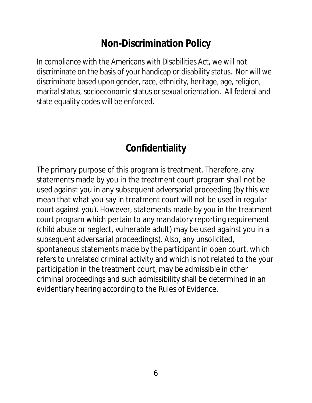# **Non-Discrimination Policy**

In compliance with the Americans with Disabilities Act, we will not discriminate on the basis of your handicap or disability status. Nor will we discriminate based upon gender, race, ethnicity, heritage, age, religion, marital status, socioeconomic status or sexual orientation. All federal and state equality codes will be enforced.

# **Confidentiality**

The primary purpose of this program is treatment. Therefore, any statements made by you in the treatment court program shall not be used against you in any subsequent adversarial proceeding (by this we mean that what you say in treatment court will not be used in regular court against you). However, statements made by you in the treatment court program which pertain to any mandatory reporting requirement (child abuse or neglect, vulnerable adult) may be used against you in a subsequent adversarial proceeding(s). Also, any unsolicited, spontaneous statements made by the participant in open court, which refers to unrelated criminal activity and which is not related to the your participation in the treatment court, may be admissible in other criminal proceedings and such admissibility shall be determined in an evidentiary hearing according to the Rules of Evidence.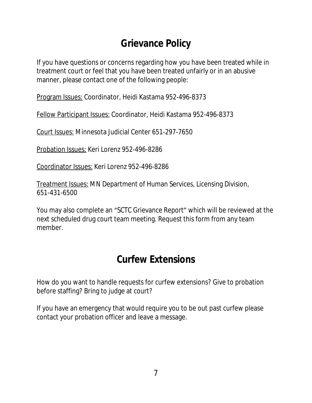# **Grievance Policy**

If you have questions or concerns regarding how you have been treated while in treatment court or feel that you have been treated unfairly or in an abusive manner, please contact one of the following people:

Program Issues: Coordinator, Heidi Kastama 952-496-8373

Fellow Participant Issues: Coordinator, Heidi Kastama 952-496-8373

Court Issues: Minnesota Judicial Center 651-297-7650

Probation Issues: Keri Lorenz 952-496-8286

Coordinator Issues: Keri Lorenz 952-496-8286

Treatment Issues: MN Department of Human Services, Licensing Division, 651-431-6500

You may also complete an "SCTC Grievance Report" which will be reviewed at the next scheduled drug court team meeting. Request this form from any team member.

# **Curfew Extensions**

How do you want to handle requests for curfew extensions? Give to probation before staffing? Bring to judge at court?

If you have an emergency that would require you to be out past curfew please contact your probation officer and leave a message.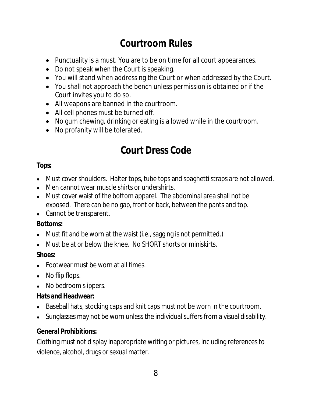# **Courtroom Rules**

- Punctuality is a must. You are to be on time for all court appearances.
- Do not speak when the Court is speaking.
- You will stand when addressing the Court or when addressed by the Court.
- You shall not approach the bench unless permission is obtained or if the Court invites you to do so.
- All weapons are banned in the courtroom.
- All cell phones must be turned off.
- No gum chewing, drinking or eating is allowed while in the courtroom.
- No profanity will be tolerated.

# **Court Dress Code**

#### **Tops:**

- Must cover shoulders. Halter tops, tube tops and spaghetti straps are not allowed.
- Men cannot wear muscle shirts or undershirts.
- Must cover waist of the bottom apparel. The abdominal area shall not be exposed. There can be no gap, front or back, between the pants and top.
- Cannot be transparent.

#### **Bottoms:**

- $\bullet$  Must fit and be worn at the waist (i.e., sagging is not permitted.)
- Must be at or below the knee. No SHORT shorts or miniskirts.

#### **Shoes:**

- Footwear must be worn at all times.
- No flip flops.
- No bedroom slippers.

#### **Hats and Headwear:**

- Baseball hats, stocking caps and knit caps must not be worn in the courtroom.
- Sunglasses may not be worn unless the individual suffers from a visual disability.

#### **General Prohibitions:**

Clothing must not display inappropriate writing or pictures, including referencesto violence, alcohol, drugs or sexual matter.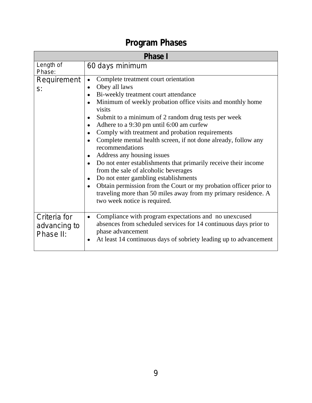# **Program Phases**

| <b>Phase I</b>                            |                                                                                                                                                                                                                                                                                                                                                                                                                                                                                                                                                                                                                                                                                                                                                                                                                  |  |
|-------------------------------------------|------------------------------------------------------------------------------------------------------------------------------------------------------------------------------------------------------------------------------------------------------------------------------------------------------------------------------------------------------------------------------------------------------------------------------------------------------------------------------------------------------------------------------------------------------------------------------------------------------------------------------------------------------------------------------------------------------------------------------------------------------------------------------------------------------------------|--|
| Length of<br>Phase:                       | 60 days minimum                                                                                                                                                                                                                                                                                                                                                                                                                                                                                                                                                                                                                                                                                                                                                                                                  |  |
| Requirement<br>$S$ :                      | Complete treatment court orientation<br>Obey all laws<br>$\bullet$<br>Bi-weekly treatment court attendance<br>Minimum of weekly probation office visits and monthly home<br>visits<br>Submit to a minimum of 2 random drug tests per week<br>Adhere to a 9:30 pm until 6:00 am curfew<br>Comply with treatment and probation requirements<br>Complete mental health screen, if not done already, follow any<br>recommendations<br>Address any housing issues<br>$\bullet$<br>Do not enter establishments that primarily receive their income<br>from the sale of alcoholic beverages<br>Do not enter gambling establishments<br>Obtain permission from the Court or my probation officer prior to<br>$\bullet$<br>traveling more than 50 miles away from my primary residence. A<br>two week notice is required. |  |
| Criteria for<br>advancing to<br>Phase II: | Compliance with program expectations and no unexcused<br>$\bullet$<br>absences from scheduled services for 14 continuous days prior to<br>phase advancement<br>At least 14 continuous days of sobriety leading up to advancement                                                                                                                                                                                                                                                                                                                                                                                                                                                                                                                                                                                 |  |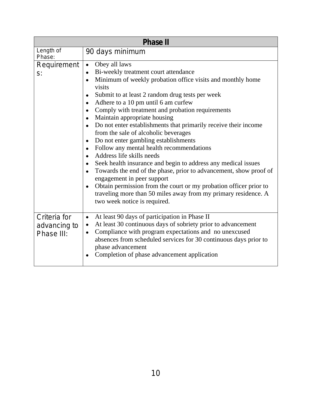| <b>Phase II</b>                            |                                                                                                                                                                                                                                                                                                                                                                                                                                                                                                                                                                                                                                                                                                                                                                                                                                                                                                                                                                                                                                                             |  |
|--------------------------------------------|-------------------------------------------------------------------------------------------------------------------------------------------------------------------------------------------------------------------------------------------------------------------------------------------------------------------------------------------------------------------------------------------------------------------------------------------------------------------------------------------------------------------------------------------------------------------------------------------------------------------------------------------------------------------------------------------------------------------------------------------------------------------------------------------------------------------------------------------------------------------------------------------------------------------------------------------------------------------------------------------------------------------------------------------------------------|--|
| Length of<br>Phase:                        | 90 days minimum                                                                                                                                                                                                                                                                                                                                                                                                                                                                                                                                                                                                                                                                                                                                                                                                                                                                                                                                                                                                                                             |  |
| Requirement<br>$S$ :                       | Obey all laws<br>$\bullet$<br>Bi-weekly treatment court attendance<br>$\bullet$<br>Minimum of weekly probation office visits and monthly home<br>$\bullet$<br>visits<br>Submit to at least 2 random drug tests per week<br>$\bullet$<br>Adhere to a 10 pm until 6 am curfew<br>$\bullet$<br>Comply with treatment and probation requirements<br>$\bullet$<br>Maintain appropriate housing<br>$\bullet$<br>Do not enter establishments that primarily receive their income<br>$\bullet$<br>from the sale of alcoholic beverages<br>Do not enter gambling establishments<br>$\bullet$<br>Follow any mental health recommendations<br>$\bullet$<br>Address life skills needs<br>$\bullet$<br>Seek health insurance and begin to address any medical issues<br>$\bullet$<br>Towards the end of the phase, prior to advancement, show proof of<br>$\bullet$<br>engagement in peer support<br>Obtain permission from the court or my probation officer prior to<br>traveling more than 50 miles away from my primary residence. A<br>two week notice is required. |  |
| Criteria for<br>advancing to<br>Phase III: | At least 90 days of participation in Phase II<br>$\bullet$<br>At least 30 continuous days of sobriety prior to advancement<br>$\bullet$<br>Compliance with program expectations and no unexcused<br>$\bullet$<br>absences from scheduled services for 30 continuous days prior to<br>phase advancement<br>Completion of phase advancement application                                                                                                                                                                                                                                                                                                                                                                                                                                                                                                                                                                                                                                                                                                       |  |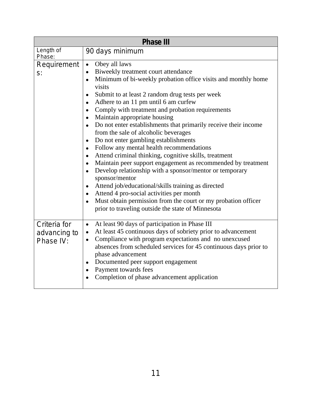| <b>Phase III</b>                          |                                                                                                                                                                                                                                                                                                                                                                                                                                                                                                                                                                                                                                                                                                                                                                                                                                                                                                                                                                                                                                                                                                                                                             |  |
|-------------------------------------------|-------------------------------------------------------------------------------------------------------------------------------------------------------------------------------------------------------------------------------------------------------------------------------------------------------------------------------------------------------------------------------------------------------------------------------------------------------------------------------------------------------------------------------------------------------------------------------------------------------------------------------------------------------------------------------------------------------------------------------------------------------------------------------------------------------------------------------------------------------------------------------------------------------------------------------------------------------------------------------------------------------------------------------------------------------------------------------------------------------------------------------------------------------------|--|
| Length of<br>Phase:                       | 90 days minimum                                                                                                                                                                                                                                                                                                                                                                                                                                                                                                                                                                                                                                                                                                                                                                                                                                                                                                                                                                                                                                                                                                                                             |  |
| Requirement<br>$S$ :                      | Obey all laws<br>$\bullet$<br>Biweekly treatment court attendance<br>$\bullet$<br>Minimum of bi-weekly probation office visits and monthly home<br>$\bullet$<br>visits<br>Submit to at least 2 random drug tests per week<br>$\bullet$<br>Adhere to an 11 pm until 6 am curfew<br>$\bullet$<br>Comply with treatment and probation requirements<br>$\bullet$<br>Maintain appropriate housing<br>$\bullet$<br>Do not enter establishments that primarily receive their income<br>$\bullet$<br>from the sale of alcoholic beverages<br>Do not enter gambling establishments<br>$\bullet$<br>Follow any mental health recommendations<br>$\bullet$<br>Attend criminal thinking, cognitive skills, treatment<br>$\bullet$<br>Maintain peer support engagement as recommended by treatment<br>$\bullet$<br>Develop relationship with a sponsor/mentor or temporary<br>$\bullet$<br>sponsor/mentor<br>Attend job/educational/skills training as directed<br>$\bullet$<br>Attend 4 pro-social activities per month<br>$\bullet$<br>Must obtain permission from the court or my probation officer<br>$\bullet$<br>prior to traveling outside the state of Minnesota |  |
| Criteria for<br>advancing to<br>Phase IV: | At least 90 days of participation in Phase III<br>$\bullet$<br>At least 45 continuous days of sobriety prior to advancement<br>$\bullet$<br>Compliance with program expectations and no unexcused<br>$\bullet$<br>absences from scheduled services for 45 continuous days prior to<br>phase advancement<br>Documented peer support engagement<br>Payment towards fees<br>$\bullet$<br>Completion of phase advancement application                                                                                                                                                                                                                                                                                                                                                                                                                                                                                                                                                                                                                                                                                                                           |  |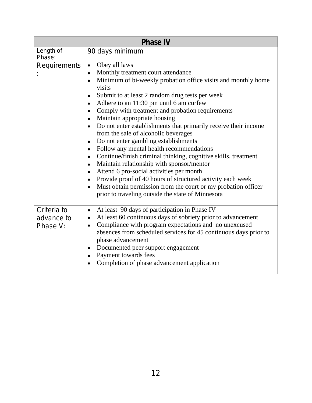| <b>Phase IV</b>                       |                                                                                                                                                                                                                                                                                                                                                                                                                                                                                                                                                                                                                                                                                                                                                                                                                                                                                          |  |
|---------------------------------------|------------------------------------------------------------------------------------------------------------------------------------------------------------------------------------------------------------------------------------------------------------------------------------------------------------------------------------------------------------------------------------------------------------------------------------------------------------------------------------------------------------------------------------------------------------------------------------------------------------------------------------------------------------------------------------------------------------------------------------------------------------------------------------------------------------------------------------------------------------------------------------------|--|
| Length of<br>Phase:                   | 90 days minimum                                                                                                                                                                                                                                                                                                                                                                                                                                                                                                                                                                                                                                                                                                                                                                                                                                                                          |  |
| Requirements                          | Obey all laws<br>Monthly treatment court attendance<br>$\bullet$<br>Minimum of bi-weekly probation office visits and monthly home<br>visits<br>Submit to at least 2 random drug tests per week<br>Adhere to an 11:30 pm until 6 am curfew<br>Comply with treatment and probation requirements<br>Maintain appropriate housing<br>Do not enter establishments that primarily receive their income<br>from the sale of alcoholic beverages<br>Do not enter gambling establishments<br>Follow any mental health recommendations<br>Continue/finish criminal thinking, cognitive skills, treatment<br>Maintain relationship with sponsor/mentor<br>Attend 6 pro-social activities per month<br>Provide proof of 40 hours of structured activity each week<br>Must obtain permission from the court or my probation officer<br>$\bullet$<br>prior to traveling outside the state of Minnesota |  |
| Criteria to<br>advance to<br>Phase V: | At least 90 days of participation in Phase IV<br>$\bullet$<br>At least 60 continuous days of sobriety prior to advancement<br>Compliance with program expectations and no unexcused<br>$\bullet$<br>absences from scheduled services for 45 continuous days prior to<br>phase advancement<br>Documented peer support engagement<br>Payment towards fees<br>Completion of phase advancement application                                                                                                                                                                                                                                                                                                                                                                                                                                                                                   |  |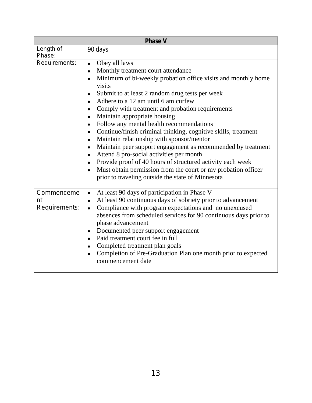| <b>Phase V</b>                    |                                                                                                                                                                                                                                                                                                                                                                                                                                                                                                                                                                                                                                                                                                                                                                                      |  |
|-----------------------------------|--------------------------------------------------------------------------------------------------------------------------------------------------------------------------------------------------------------------------------------------------------------------------------------------------------------------------------------------------------------------------------------------------------------------------------------------------------------------------------------------------------------------------------------------------------------------------------------------------------------------------------------------------------------------------------------------------------------------------------------------------------------------------------------|--|
| Length of<br>Phase:               | 90 days                                                                                                                                                                                                                                                                                                                                                                                                                                                                                                                                                                                                                                                                                                                                                                              |  |
| Requirements:                     | Obey all laws<br>$\bullet$<br>Monthly treatment court attendance<br>Minimum of bi-weekly probation office visits and monthly home<br>visits<br>Submit to at least 2 random drug tests per week<br>Adhere to a 12 am until 6 am curfew<br>Comply with treatment and probation requirements<br>Maintain appropriate housing<br>Follow any mental health recommendations<br>Continue/finish criminal thinking, cognitive skills, treatment<br>Maintain relationship with sponsor/mentor<br>Maintain peer support engagement as recommended by treatment<br>Attend 8 pro-social activities per month<br>Provide proof of 40 hours of structured activity each week<br>Must obtain permission from the court or my probation officer<br>prior to traveling outside the state of Minnesota |  |
| Commenceme<br>nt<br>Requirements: | At least 90 days of participation in Phase V<br>$\bullet$<br>At least 90 continuous days of sobriety prior to advancement<br>$\bullet$<br>Compliance with program expectations and no unexcused<br>$\bullet$<br>absences from scheduled services for 90 continuous days prior to<br>phase advancement<br>Documented peer support engagement<br>Paid treatment court fee in full<br>Completed treatment plan goals<br>Completion of Pre-Graduation Plan one month prior to expected<br>commencement date                                                                                                                                                                                                                                                                              |  |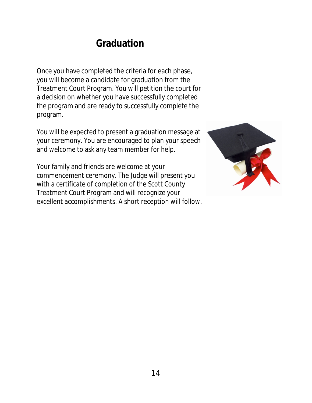# **Graduation**

Once you have completed the criteria for each phase, you will become a candidate for graduation from the Treatment Court Program. You will petition the court for a decision on whether you have successfully completed the program and are ready to successfully complete the program.

You will be expected to present a graduation message at your ceremony. You are encouraged to plan your speech and welcome to ask any team member for help.

Your family and friends are welcome at your commencement ceremony. The Judge will present you with a certificate of completion of the Scott County Treatment Court Program and will recognize your excellent accomplishments. A short reception will follow.

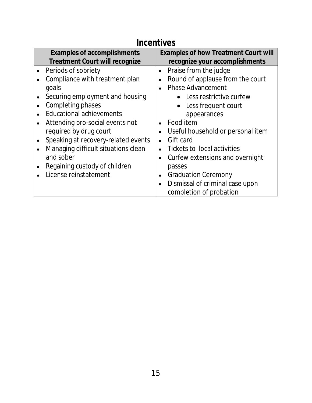## **Incentives**

| <b>Examples of accomplishments</b>    | <b>Examples of how Treatment Court will</b>   |
|---------------------------------------|-----------------------------------------------|
| <b>Treatment Court will recognize</b> | recognize your accomplishments                |
| Periods of sobriety                   | Praise from the judge<br>$\bullet$            |
| Compliance with treatment plan        | Round of applause from the court<br>$\bullet$ |
| goals                                 | <b>Phase Advancement</b><br>$\bullet$         |
| Securing employment and housing       | • Less restrictive curfew                     |
| Completing phases                     | Less frequent court                           |
| <b>Educational achievements</b>       | appearances                                   |
| Attending pro-social events not       | Food item                                     |
| required by drug court                | Useful household or personal item             |
| Speaking at recovery-related events   | Gift card<br>$\bullet$                        |
| Managing difficult situations clean   | Tickets to local activities<br>$\bullet$      |
| and sober                             | Curfew extensions and overnight<br>$\bullet$  |
| Regaining custody of children         | passes                                        |
| License reinstatement                 | <b>Graduation Ceremony</b><br>$\bullet$       |
|                                       | Dismissal of criminal case upon<br>$\bullet$  |
|                                       | completion of probation                       |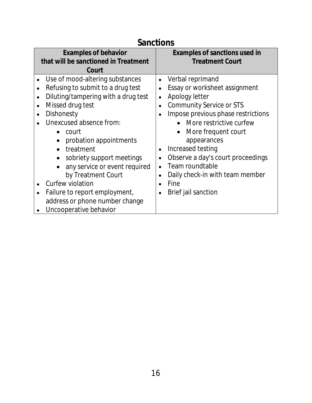## **Sanctions**

| <b>Examples of behavior</b><br>that will be sanctioned in Treatment<br>Court                                                                                                                                                                                                                                                                                                                                                                                                                                | <b>Examples of sanctions used in</b><br><b>Treatment Court</b>                                                                                                                                                                                                                                                                                                                           |
|-------------------------------------------------------------------------------------------------------------------------------------------------------------------------------------------------------------------------------------------------------------------------------------------------------------------------------------------------------------------------------------------------------------------------------------------------------------------------------------------------------------|------------------------------------------------------------------------------------------------------------------------------------------------------------------------------------------------------------------------------------------------------------------------------------------------------------------------------------------------------------------------------------------|
| Use of mood-altering substances<br>$\bullet$<br>Refusing to submit to a drug test<br>$\bullet$<br>Diluting/tampering with a drug test<br>Missed drug test<br>$\bullet$<br>Dishonesty<br>Unexcused absence from:<br>court<br>$\bullet$<br>probation appointments<br>$\bullet$<br>treatment<br>$\bullet$<br>sobriety support meetings<br>any service or event required<br>by Treatment Court<br>Curfew violation<br>Failure to report employment,<br>address or phone number change<br>Uncooperative behavior | Verbal reprimand<br>$\bullet$<br>Essay or worksheet assignment<br>Apology letter<br>$\bullet$<br><b>Community Service or STS</b><br>Impose previous phase restrictions<br>• More restrictive curfew<br>More frequent court<br>appearances<br>Increased testing<br>Observe a day's court proceedings<br>Team roundtable<br>Daily check-in with team member<br>Fine<br>Brief jail sanction |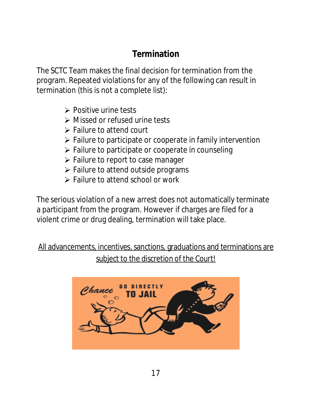## **Termination**

The SCTC Team makes the final decision for termination from the program. Repeated violations for any of the following can result in termination (this is not a complete list):

- $\triangleright$  Positive urine tests
- Missed or refused urine tests
- **► Failure to attend court**
- $\triangleright$  Failure to participate or cooperate in family intervention
- $\triangleright$  Failure to participate or cooperate in counseling
- $\triangleright$  Failure to report to case manager
- $\triangleright$  Failure to attend outside programs
- $\triangleright$  Failure to attend school or work

The serious violation of a new arrest does not automatically terminate a participant from the program. However if charges are filed for a violent crime or drug dealing, termination will take place.

All advancements, incentives, sanctions, graduations and terminations are subject to the discretion of the Court!

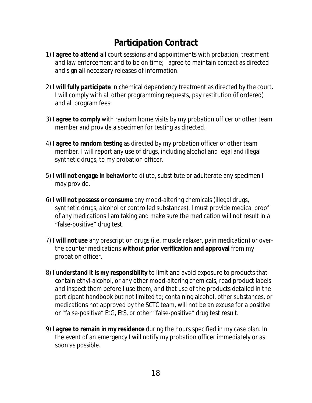## **Participation Contract**

- 1) **I agree to attend** all court sessions and appointments with probation, treatment and law enforcement and to be on time; I agree to maintain contact as directed and sign all necessary releases of information.
- 2) **I will fully participate** in chemical dependency treatment as directed by the court. I will comply with all other programming requests, pay restitution (if ordered) and all program fees.
- 3) **I agree to comply** with random home visits by my probation officer or other team member and provide a specimen for testing as directed.
- 4) **I agree to random testing** as directed by my probation officer or other team member. I will report any use of drugs, including alcohol and legal and illegal synthetic drugs, to my probation officer.
- 5) **I will not engage in behavior** to dilute, substitute or adulterate any specimen I may provide.
- 6) **I will not possess or consume** any mood-altering chemicals (illegal drugs, synthetic drugs, alcohol or controlled substances). I must provide medical proof of any medications I am taking and make sure the medication will not result in a "false-positive" drug test.
- 7) **I will not use** any prescription drugs (i.e. muscle relaxer, pain medication) or overthe counter medications **without prior verification and approval** from my probation officer.
- 8) **I understand it is my responsibility** to limit and avoid exposure to products that contain ethyl-alcohol, or any other mood-altering chemicals, read product labels and inspect them before I use them, and that use of the products detailed in the participant handbook but not limited to; containing alcohol, other substances, or medications not approved by the SCTC team, will not be an excuse for a positive or "false-positive" EtG, EtS, or other "false-positive" drug test result.
- 9) **I agree to remain in my residence** during the hours specified in my case plan. In the event of an emergency I will notify my probation officer immediately or as soon as possible.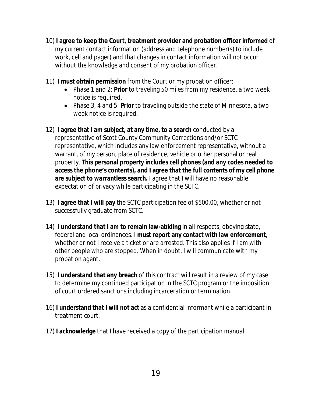- 10) **I agree to keep the Court, treatment provider and probation officer informed** of my current contact information (address and telephone number(s) to include work, cell and pager) and that changes in contact information will not occur without the knowledge and consent of my probation officer.
- 11) **I must obtain permission** from the Court or my probation officer:
	- Phase 1 and 2: **Prior** to traveling 50 miles from my residence, a two week notice is required.
	- Phase 3, 4 and 5: **Prior** to traveling outside the state of Minnesota, a two week notice is required.
- 12) **I agree that I am subject, at any time, to a search** conducted by a representative of Scott County Community Corrections and/or SCTC representative, which includes any law enforcement representative, without a warrant, of my person, place of residence, vehicle or other personal or real property. **This personal property includes cell phones (and any codes needed to access the phone's contents), and I agree that the full contents of my cell phone are subject to warrantless search.** I agree that I will have no reasonable expectation of privacy while participating in the SCTC.
- 13) **I agree that I will pay** the SCTC participation fee of \$500.00, whether or not I successfully graduate from SCTC.
- 14) **I understand that I am to remain law-abiding** in all respects, obeying state, federal and local ordinances. I **must report any contact with law enforcement**, whether or not I receive a ticket or are arrested. This also applies if I am with other people who are stopped. When in doubt, I will communicate with my probation agent.
- 15) **I understand that any breach** of this contract will result in a review of my case to determine my continued participation in the SCTC program or the imposition of court ordered sanctions including incarceration or termination.
- 16) **I understand that I will not act** as a confidential informant while a participant in treatment court.
- 17) **I acknowledge** that I have received a copy of the participation manual.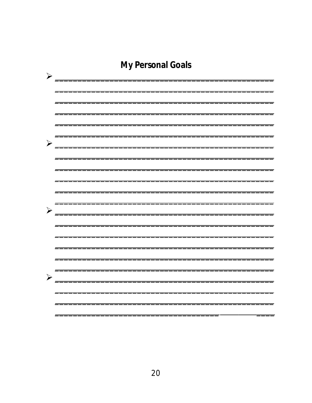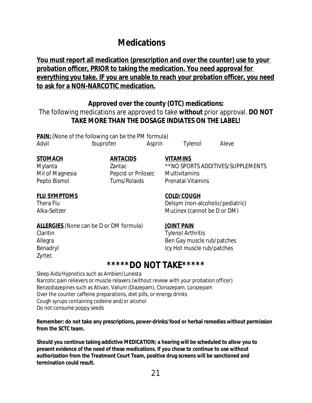## **Medications**

#### **You must report all medication (prescription and over the counter) use to your probation officer, PRIOR to taking the medication. You need approval for everything you take. IF you are unable to reach your probation officer, you need to ask for a NON-NARCOTIC medication.**

#### **Approved over the county (OTC) medications:**

The following medications are approved to take **without** prior approval. **DO NOT TAKE MORE THAN THE DOSAGE INDIATES ON THE LABEL!**

**PAIN:** (None of the following can be the PM formula) Advil **Ibuprofen** Asprin Tylenol Aleve

#### **STOMACH ANTACIDS VITAMINS**

#### **FLU SYMPTOMS COLD/COUGH**

Mylanta Zantac \*\*NO SPORTS ADDITIVES/SUPPLEMENTS Mil of Magnesia Pepcid or Prilosec Multivitamins Pepto Bismol **Tums/Rolaids** Prenatal Vitamins

Thera Flu Delsym (non-alcoholic/pediatric) Alka-Seltzer Mucinex (cannot be D or DM)

#### **ALLERGIES** (None can be D or DM formula) **JOINT PAIN**

Zyrtec

Claritin Claritin Claritin Claritin Tylenol Arthritis Allegra Ben Gay muscle rub/patches Benadryl **Icy Hot muscle rub/patches** 

### **\*\*\*\*\*DO NOT TAKE\*\*\*\*\***

Sleep Aids/Hypnotics such as Ambien/Lunesta Narcotic pain relievers or muscle relaxers (without review with your probation officer) Benzodiazepines such as Ativan, Valium (Diazepam), Clonazepam, Lorazepam Over the counter caffeine preparations, diet pills, or energy drinks Cough syrups containing codeine and/or alcohol Do not consume poppy seeds

#### **Remember: do not take any prescriptions, power-drinks/food or herbal remedies without permission from the SCTC team.**

**Should you continue taking addictive MEDICATION; a hearing will be scheduled to allow you to present evidence of the need of these medications. If you chose to continue to use without authorization from the Treatment Court Team, positive drug screens will be sanctioned and termination could result.**